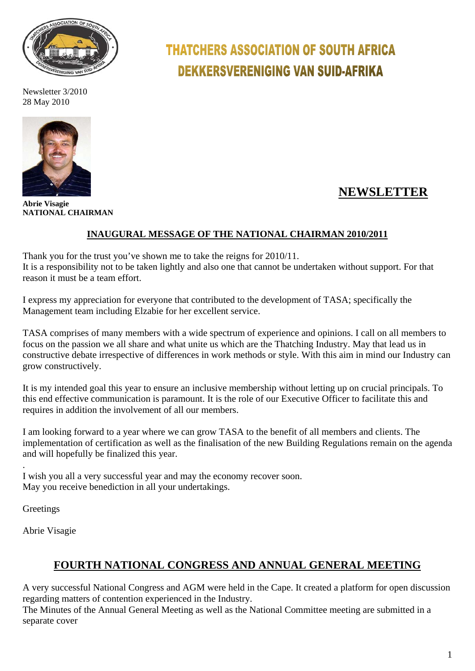

Newsletter 3/2010 28 May 2010



**Abrie Visagie NATIONAL CHAIRMAN**

# **THATCHERS ASSOCIATION OF SOUTH AFRICA DEKKERSVERENIGING VAN SUID-AFRIKA**

# **NEWSLETTER**

# **INAUGURAL MESSAGE OF THE NATIONAL CHAIRMAN 2010/2011**

Thank you for the trust you've shown me to take the reigns for 2010/11. It is a responsibility not to be taken lightly and also one that cannot be undertaken without support. For that reason it must be a team effort.

I express my appreciation for everyone that contributed to the development of TASA; specifically the Management team including Elzabie for her excellent service.

TASA comprises of many members with a wide spectrum of experience and opinions. I call on all members to focus on the passion we all share and what unite us which are the Thatching Industry. May that lead us in constructive debate irrespective of differences in work methods or style. With this aim in mind our Industry can grow constructively.

It is my intended goal this year to ensure an inclusive membership without letting up on crucial principals. To this end effective communication is paramount. It is the role of our Executive Officer to facilitate this and requires in addition the involvement of all our members.

I am looking forward to a year where we can grow TASA to the benefit of all members and clients. The implementation of certification as well as the finalisation of the new Building Regulations remain on the agenda and will hopefully be finalized this year.

I wish you all a very successful year and may the economy recover soon. May you receive benediction in all your undertakings.

**Greetings** 

.

Abrie Visagie

# **FOURTH NATIONAL CONGRESS AND ANNUAL GENERAL MEETING**

A very successful National Congress and AGM were held in the Cape. It created a platform for open discussion regarding matters of contention experienced in the Industry.

The Minutes of the Annual General Meeting as well as the National Committee meeting are submitted in a separate cover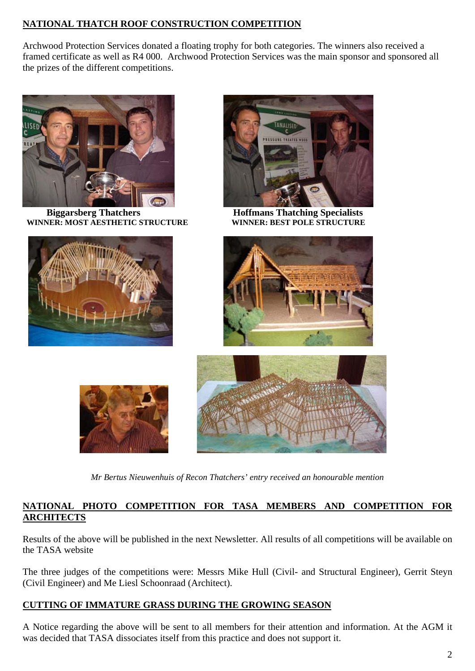# **NATIONAL THATCH ROOF CONSTRUCTION COMPETITION**

Archwood Protection Services donated a floating trophy for both categories. The winners also received a framed certificate as well as R4 000. Archwood Protection Services was the main sponsor and sponsored all the prizes of the different competitions.



 **Biggarsberg Thatchers Hoffmans Thatching Specialists WINNER: MOST AESTHETIC STRUCTURE** 











*Mr Bertus Nieuwenhuis of Recon Thatchers' entry received an honourable mention*

## **NATIONAL PHOTO COMPETITION FOR TASA MEMBERS AND COMPETITION FOR ARCHITECTS**

Results of the above will be published in the next Newsletter. All results of all competitions will be available on the TASA website

The three judges of the competitions were: Messrs Mike Hull (Civil- and Structural Engineer), Gerrit Steyn (Civil Engineer) and Me Liesl Schoonraad (Architect).

## **CUTTING OF IMMATURE GRASS DURING THE GROWING SEASON**

A Notice regarding the above will be sent to all members for their attention and information. At the AGM it was decided that TASA dissociates itself from this practice and does not support it.